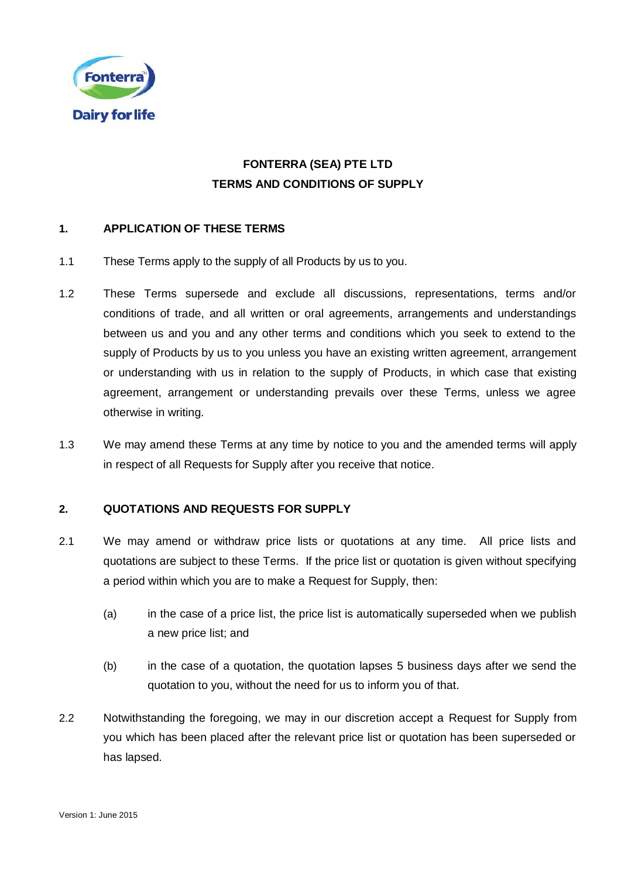

# **FONTERRA (SEA) PTE LTD TERMS AND CONDITIONS OF SUPPLY**

### **1. APPLICATION OF THESE TERMS**

- 1.1 These Terms apply to the supply of all Products by us to you.
- 1.2 These Terms supersede and exclude all discussions, representations, terms and/or conditions of trade, and all written or oral agreements, arrangements and understandings between us and you and any other terms and conditions which you seek to extend to the supply of Products by us to you unless you have an existing written agreement, arrangement or understanding with us in relation to the supply of Products, in which case that existing agreement, arrangement or understanding prevails over these Terms, unless we agree otherwise in writing.
- <span id="page-0-0"></span>1.3 We may amend these Terms at any time by notice to you and the amended terms will apply in respect of all Requests for Supply after you receive that notice.

### **2. QUOTATIONS AND REQUESTS FOR SUPPLY**

- 2.1 We may amend or withdraw price lists or quotations at any time. All price lists and quotations are subject to these Terms. If the price list or quotation is given without specifying a period within which you are to make a Request for Supply, then:
	- (a) in the case of a price list, the price list is automatically superseded when we publish a new price list; and
	- (b) in the case of a quotation, the quotation lapses 5 business days after we send the quotation to you, without the need for us to inform you of that.
- 2.2 Notwithstanding the foregoing, we may in our discretion accept a Request for Supply from you which has been placed after the relevant price list or quotation has been superseded or has lapsed.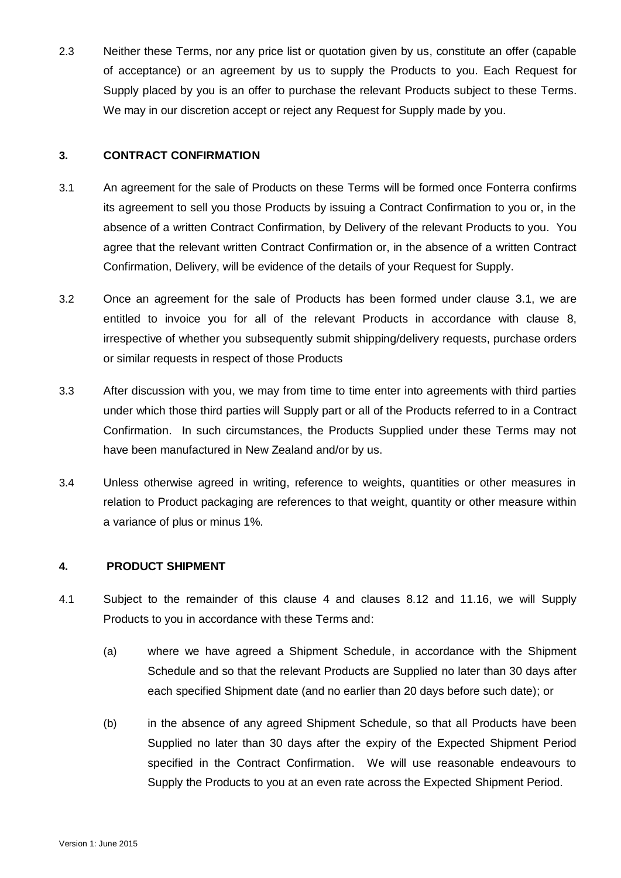2.3 Neither these Terms, nor any price list or quotation given by us, constitute an offer (capable of acceptance) or an agreement by us to supply the Products to you. Each Request for Supply placed by you is an offer to purchase the relevant Products subject to these Terms. We may in our discretion accept or reject any Request for Supply made by you.

#### **3. CONTRACT CONFIRMATION**

- <span id="page-1-0"></span>3.1 An agreement for the sale of Products on these Terms will be formed once Fonterra confirms its agreement to sell you those Products by issuing a Contract Confirmation to you or, in the absence of a written Contract Confirmation, by Delivery of the relevant Products to you. You agree that the relevant written Contract Confirmation or, in the absence of a written Contract Confirmation, Delivery, will be evidence of the details of your Request for Supply.
- 3.2 Once an agreement for the sale of Products has been formed under clause [3.1,](#page-1-0) we are entitled to invoice you for all of the relevant Products in accordance with clause 8, irrespective of whether you subsequently submit shipping/delivery requests, purchase orders or similar requests in respect of those Products
- 3.3 After discussion with you, we may from time to time enter into agreements with third parties under which those third parties will Supply part or all of the Products referred to in a Contract Confirmation. In such circumstances, the Products Supplied under these Terms may not have been manufactured in New Zealand and/or by us.
- 3.4 Unless otherwise agreed in writing, reference to weights, quantities or other measures in relation to Product packaging are references to that weight, quantity or other measure within a variance of plus or minus 1%.

## <span id="page-1-1"></span>**4. PRODUCT SHIPMENT**

- 4.1 Subject to the remainder of this clause [4](#page-1-1) and clauses [8.12](#page-8-0) and [11.16,](#page-15-0) we will Supply Products to you in accordance with these Terms and:
	- (a) where we have agreed a Shipment Schedule, in accordance with the Shipment Schedule and so that the relevant Products are Supplied no later than 30 days after each specified Shipment date (and no earlier than 20 days before such date); or
	- (b) in the absence of any agreed Shipment Schedule, so that all Products have been Supplied no later than 30 days after the expiry of the Expected Shipment Period specified in the Contract Confirmation. We will use reasonable endeavours to Supply the Products to you at an even rate across the Expected Shipment Period.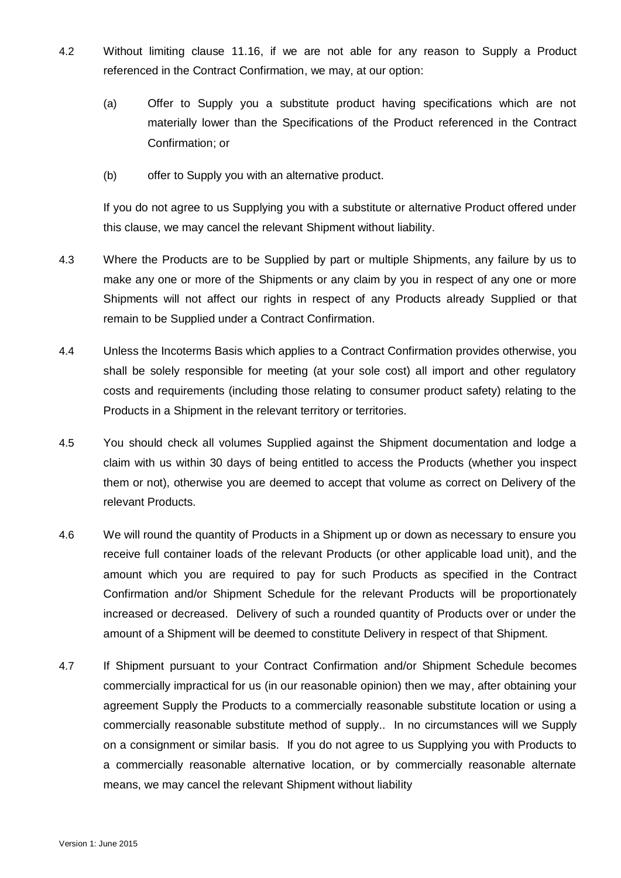- 4.2 Without limiting clause 11.16, if we are not able for any reason to Supply a Product referenced in the Contract Confirmation, we may, at our option:
	- (a) Offer to Supply you a substitute product having specifications which are not materially lower than the Specifications of the Product referenced in the Contract Confirmation; or
	- (b) offer to Supply you with an alternative product.

If you do not agree to us Supplying you with a substitute or alternative Product offered under this clause, we may cancel the relevant Shipment without liability.

- 4.3 Where the Products are to be Supplied by part or multiple Shipments, any failure by us to make any one or more of the Shipments or any claim by you in respect of any one or more Shipments will not affect our rights in respect of any Products already Supplied or that remain to be Supplied under a Contract Confirmation.
- 4.4 Unless the Incoterms Basis which applies to a Contract Confirmation provides otherwise, you shall be solely responsible for meeting (at your sole cost) all import and other regulatory costs and requirements (including those relating to consumer product safety) relating to the Products in a Shipment in the relevant territory or territories.
- 4.5 You should check all volumes Supplied against the Shipment documentation and lodge a claim with us within 30 days of being entitled to access the Products (whether you inspect them or not), otherwise you are deemed to accept that volume as correct on Delivery of the relevant Products.
- <span id="page-2-0"></span>4.6 We will round the quantity of Products in a Shipment up or down as necessary to ensure you receive full container loads of the relevant Products (or other applicable load unit), and the amount which you are required to pay for such Products as specified in the Contract Confirmation and/or Shipment Schedule for the relevant Products will be proportionately increased or decreased.Delivery of such a rounded quantity of Products over or under the amount of a Shipment will be deemed to constitute Delivery in respect of that Shipment.
- 4.7 If Shipment pursuant to your Contract Confirmation and/or Shipment Schedule becomes commercially impractical for us (in our reasonable opinion) then we may, after obtaining your agreement Supply the Products to a commercially reasonable substitute location or using a commercially reasonable substitute method of supply.. In no circumstances will we Supply on a consignment or similar basis. If you do not agree to us Supplying you with Products to a commercially reasonable alternative location, or by commercially reasonable alternate means, we may cancel the relevant Shipment without liability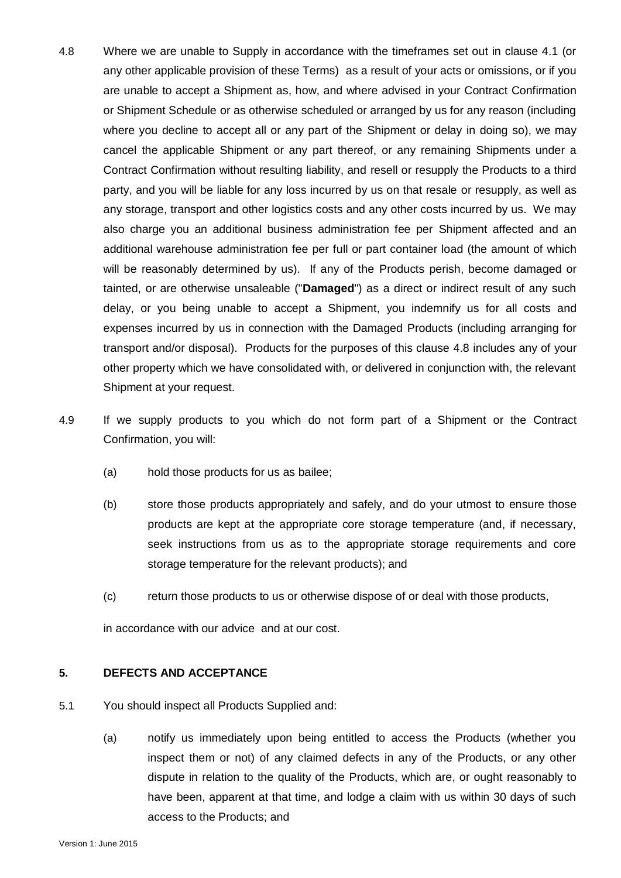- <span id="page-3-0"></span>4.8 Where we are unable to Supply in accordance with the timeframes set out in clause 4.1 (or any other applicable provision of these Terms) as a result of your acts or omissions, or if you are unable to accept a Shipment as, how, and where advised in your Contract Confirmation or Shipment Schedule or as otherwise scheduled or arranged by us for any reason (including where you decline to accept all or any part of the Shipment or delay in doing so), we may cancel the applicable Shipment or any part thereof, or any remaining Shipments under a Contract Confirmation without resulting liability, and resell or resupply the Products to a third party, and you will be liable for any loss incurred by us on that resale or resupply, as well as any storage, transport and other logistics costs and any other costs incurred by us. We may also charge you an additional business administration fee per Shipment affected and an additional warehouse administration fee per full or part container load (the amount of which will be reasonably determined by us). If any of the Products perish, become damaged or tainted, or are otherwise unsaleable ("**Damaged**") as a direct or indirect result of any such delay, or you being unable to accept a Shipment, you indemnify us for all costs and expenses incurred by us in connection with the Damaged Products (including arranging for transport and/or disposal). Products for the purposes of this clause [4.8](#page-3-0) includes any of your other property which we have consolidated with, or delivered in conjunction with, the relevant Shipment at your request.
- 4.9 If we supply products to you which do not form part of a Shipment or the Contract Confirmation, you will:
	- (a) hold those products for us as bailee;
	- (b) store those products appropriately and safely, and do your utmost to ensure those products are kept at the appropriate core storage temperature (and, if necessary, seek instructions from us as to the appropriate storage requirements and core storage temperature for the relevant products); and
	- (c) return those products to us or otherwise dispose of or deal with those products,

in accordance with our advice and at our cost.

#### **5. DEFECTS AND ACCEPTANCE**

- 5.1 You should inspect all Products Supplied and:
	- (a) notify us immediately upon being entitled to access the Products (whether you inspect them or not) of any claimed defects in any of the Products, or any other dispute in relation to the quality of the Products, which are, or ought reasonably to have been, apparent at that time, and lodge a claim with us within 30 days of such access to the Products; and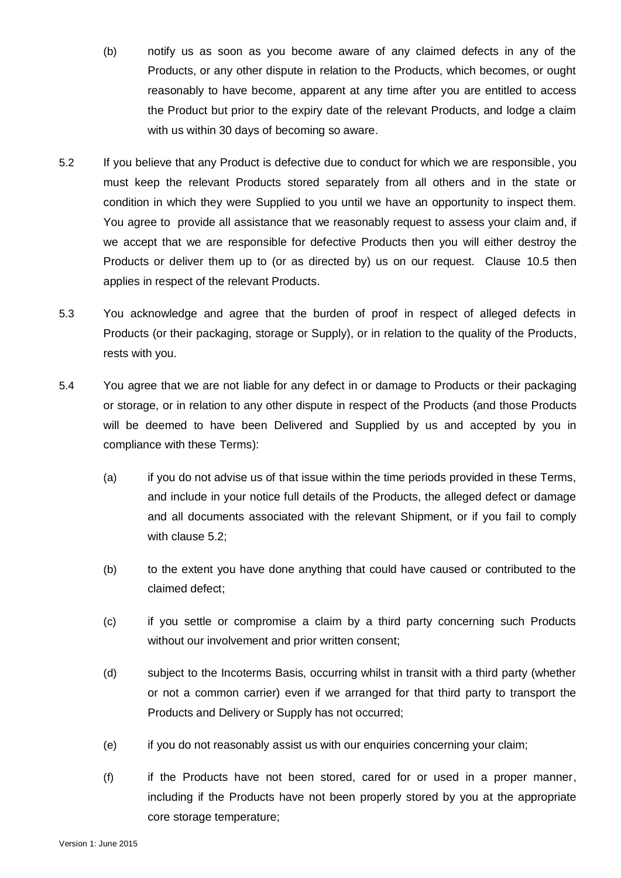- (b) notify us as soon as you become aware of any claimed defects in any of the Products, or any other dispute in relation to the Products, which becomes, or ought reasonably to have become, apparent at any time after you are entitled to access the Product but prior to the expiry date of the relevant Products, and lodge a claim with us within 30 days of becoming so aware.
- <span id="page-4-0"></span>5.2 If you believe that any Product is defective due to conduct for which we are responsible, you must keep the relevant Products stored separately from all others and in the state or condition in which they were Supplied to you until we have an opportunity to inspect them. You agree to provide all assistance that we reasonably request to assess your claim and, if we accept that we are responsible for defective Products then you will either destroy the Products or deliver them up to (or as directed by) us on our request. Clause [10.5](#page-11-0) then applies in respect of the relevant Products.
- 5.3 You acknowledge and agree that the burden of proof in respect of alleged defects in Products (or their packaging, storage or Supply), or in relation to the quality of the Products, rests with you.
- 5.4 You agree that we are not liable for any defect in or damage to Products or their packaging or storage, or in relation to any other dispute in respect of the Products (and those Products will be deemed to have been Delivered and Supplied by us and accepted by you in compliance with these Terms):
	- (a) if you do not advise us of that issue within the time periods provided in these Terms, and include in your notice full details of the Products, the alleged defect or damage and all documents associated with the relevant Shipment, or if you fail to comply with clause [5.2;](#page-4-0)
	- (b) to the extent you have done anything that could have caused or contributed to the claimed defect;
	- (c) if you settle or compromise a claim by a third party concerning such Products without our involvement and prior written consent;
	- (d) subject to the Incoterms Basis, occurring whilst in transit with a third party (whether or not a common carrier) even if we arranged for that third party to transport the Products and Delivery or Supply has not occurred;
	- (e) if you do not reasonably assist us with our enquiries concerning your claim;
	- (f) if the Products have not been stored, cared for or used in a proper manner, including if the Products have not been properly stored by you at the appropriate core storage temperature;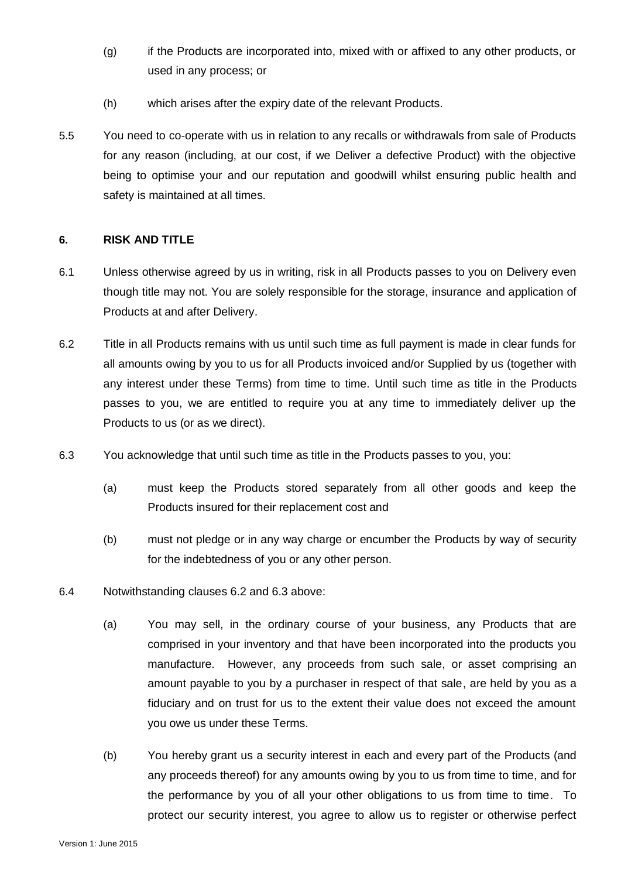- (g) if the Products are incorporated into, mixed with or affixed to any other products, or used in any process; or
- (h) which arises after the expiry date of the relevant Products.
- 5.5 You need to co-operate with us in relation to any recalls or withdrawals from sale of Products for any reason (including, at our cost, if we Deliver a defective Product) with the objective being to optimise your and our reputation and goodwill whilst ensuring public health and safety is maintained at all times.

#### **6. RISK AND TITLE**

- 6.1 Unless otherwise agreed by us in writing, risk in all Products passes to you on Delivery even though title may not. You are solely responsible for the storage, insurance and application of Products at and after Delivery.
- <span id="page-5-0"></span>6.2 Title in all Products remains with us until such time as full payment is made in clear funds for all amounts owing by you to us for all Products invoiced and/or Supplied by us (together with any interest under these Terms) from time to time. Until such time as title in the Products passes to you, we are entitled to require you at any time to immediately deliver up the Products to us (or as we direct).
- <span id="page-5-1"></span>6.3 You acknowledge that until such time as title in the Products passes to you, you:
	- (a) must keep the Products stored separately from all other goods and keep the Products insured for their replacement cost and
	- (b) must not pledge or in any way charge or encumber the Products by way of security for the indebtedness of you or any other person.
- 6.4 Notwithstanding clauses [6.2](#page-5-0) and [6.3](#page-5-1) above:
	- (a) You may sell, in the ordinary course of your business, any Products that are comprised in your inventory and that have been incorporated into the products you manufacture. However, any proceeds from such sale, or asset comprising an amount payable to you by a purchaser in respect of that sale, are held by you as a fiduciary and on trust for us to the extent their value does not exceed the amount you owe us under these Terms.
	- (b) You hereby grant us a security interest in each and every part of the Products (and any proceeds thereof) for any amounts owing by you to us from time to time, and for the performance by you of all your other obligations to us from time to time. To protect our security interest, you agree to allow us to register or otherwise perfect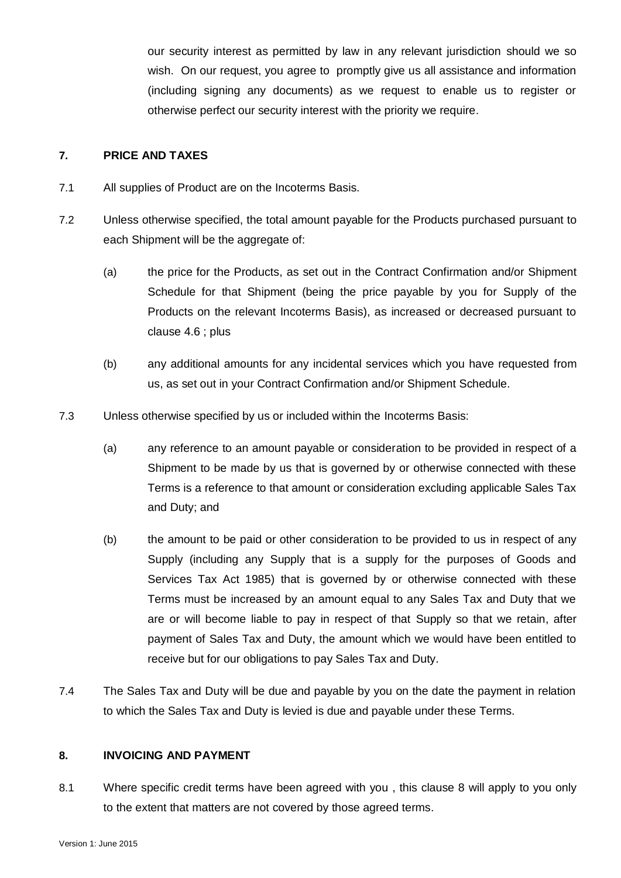our security interest as permitted by law in any relevant jurisdiction should we so wish. On our request, you agree to promptly give us all assistance and information (including signing any documents) as we request to enable us to register or otherwise perfect our security interest with the priority we require.

#### **7. PRICE AND TAXES**

- 7.1 All supplies of Product are on the Incoterms Basis.
- 7.2 Unless otherwise specified, the total amount payable for the Products purchased pursuant to each Shipment will be the aggregate of:
	- (a) the price for the Products, as set out in the Contract Confirmation and/or Shipment Schedule for that Shipment (being the price payable by you for Supply of the Products on the relevant Incoterms Basis), as increased or decreased pursuant to clause [4.6](#page-2-0) ; plus
	- (b) any additional amounts for any incidental services which you have requested from us, as set out in your Contract Confirmation and/or Shipment Schedule.
- 7.3 Unless otherwise specified by us or included within the Incoterms Basis:
	- (a) any reference to an amount payable or consideration to be provided in respect of a Shipment to be made by us that is governed by or otherwise connected with these Terms is a reference to that amount or consideration excluding applicable Sales Tax and Duty; and
	- (b) the amount to be paid or other consideration to be provided to us in respect of any Supply (including any Supply that is a supply for the purposes of Goods and Services Tax Act 1985) that is governed by or otherwise connected with these Terms must be increased by an amount equal to any Sales Tax and Duty that we are or will become liable to pay in respect of that Supply so that we retain, after payment of Sales Tax and Duty, the amount which we would have been entitled to receive but for our obligations to pay Sales Tax and Duty.
- 7.4 The Sales Tax and Duty will be due and payable by you on the date the payment in relation to which the Sales Tax and Duty is levied is due and payable under these Terms.

### <span id="page-6-0"></span>**8. INVOICING AND PAYMENT**

8.1 Where specific credit terms have been agreed with you , this clause [8](#page-6-0) will apply to you only to the extent that matters are not covered by those agreed terms.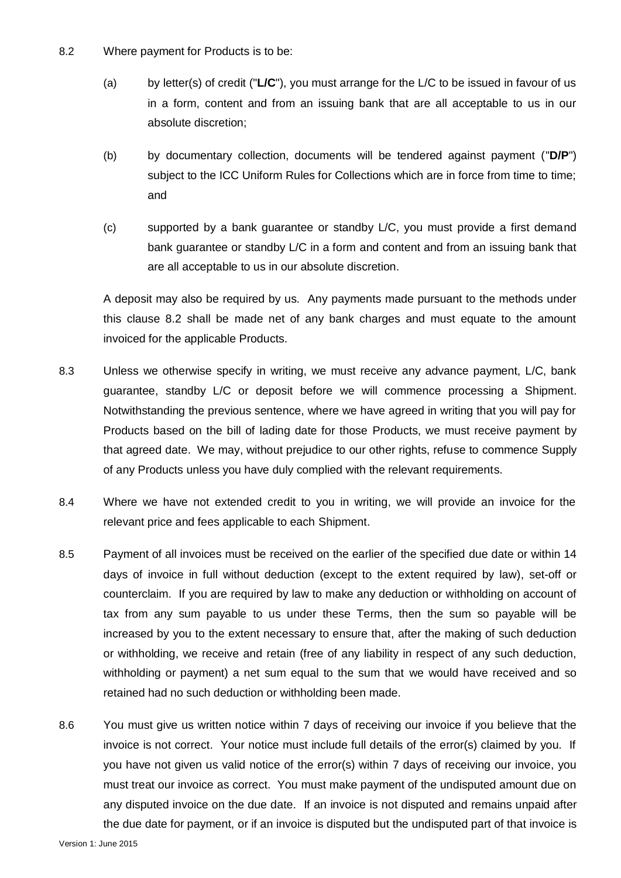- 8.2 Where payment for Products is to be:
	- (a) by letter(s) of credit ("**L/C**"), you must arrange for the L/C to be issued in favour of us in a form, content and from an issuing bank that are all acceptable to us in our absolute discretion;
	- (b) by documentary collection, documents will be tendered against payment ("**D/P**") subject to the ICC Uniform Rules for Collections which are in force from time to time; and
	- (c) supported by a bank guarantee or standby L/C, you must provide a first demand bank guarantee or standby L/C in a form and content and from an issuing bank that are all acceptable to us in our absolute discretion.

A deposit may also be required by us. Any payments made pursuant to the methods under this clause 8.2 shall be made net of any bank charges and must equate to the amount invoiced for the applicable Products.

- 8.3 Unless we otherwise specify in writing, we must receive any advance payment, L/C, bank guarantee, standby L/C or deposit before we will commence processing a Shipment. Notwithstanding the previous sentence, where we have agreed in writing that you will pay for Products based on the bill of lading date for those Products, we must receive payment by that agreed date. We may, without prejudice to our other rights, refuse to commence Supply of any Products unless you have duly complied with the relevant requirements.
- 8.4 Where we have not extended credit to you in writing, we will provide an invoice for the relevant price and fees applicable to each Shipment.
- 8.5 Payment of all invoices must be received on the earlier of the specified due date or within 14 days of invoice in full without deduction (except to the extent required by law), set-off or counterclaim. If you are required by law to make any deduction or withholding on account of tax from any sum payable to us under these Terms, then the sum so payable will be increased by you to the extent necessary to ensure that, after the making of such deduction or withholding, we receive and retain (free of any liability in respect of any such deduction, withholding or payment) a net sum equal to the sum that we would have received and so retained had no such deduction or withholding been made.
- 8.6 You must give us written notice within 7 days of receiving our invoice if you believe that the invoice is not correct. Your notice must include full details of the error(s) claimed by you. If you have not given us valid notice of the error(s) within 7 days of receiving our invoice, you must treat our invoice as correct. You must make payment of the undisputed amount due on any disputed invoice on the due date. If an invoice is not disputed and remains unpaid after the due date for payment, or if an invoice is disputed but the undisputed part of that invoice is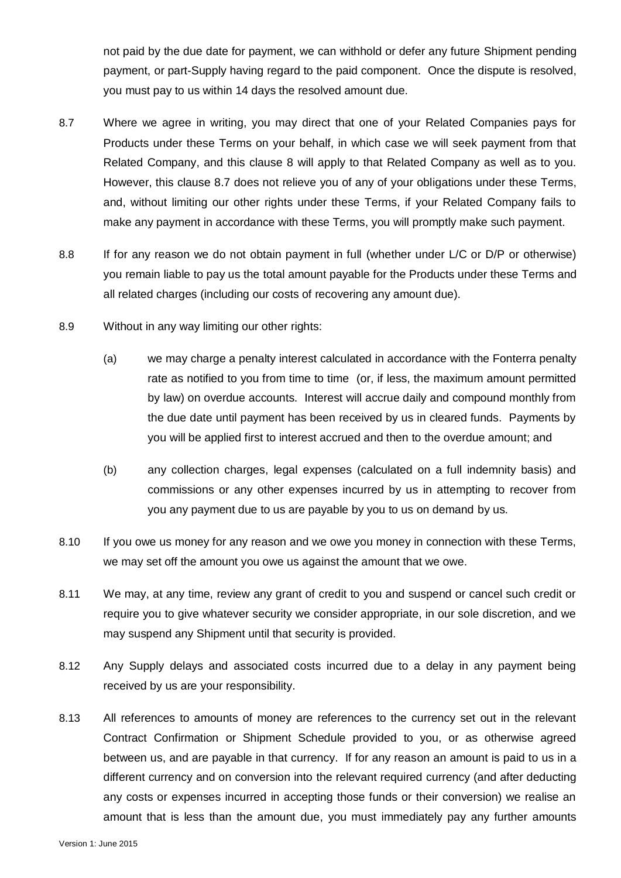not paid by the due date for payment, we can withhold or defer any future Shipment pending payment, or part-Supply having regard to the paid component. Once the dispute is resolved, you must pay to us within 14 days the resolved amount due.

- <span id="page-8-1"></span>8.7 Where we agree in writing, you may direct that one of your Related Companies pays for Products under these Terms on your behalf, in which case we will seek payment from that Related Company, and this clause [8](#page-6-0) will apply to that Related Company as well as to you. However, this clause [8.7](#page-8-1) does not relieve you of any of your obligations under these Terms, and, without limiting our other rights under these Terms, if your Related Company fails to make any payment in accordance with these Terms, you will promptly make such payment.
- 8.8 If for any reason we do not obtain payment in full (whether under L/C or D/P or otherwise) you remain liable to pay us the total amount payable for the Products under these Terms and all related charges (including our costs of recovering any amount due).
- 8.9 Without in any way limiting our other rights:
	- (a) we may charge a penalty interest calculated in accordance with the Fonterra penalty rate as notified to you from time to time (or, if less, the maximum amount permitted by law) on overdue accounts. Interest will accrue daily and compound monthly from the due date until payment has been received by us in cleared funds. Payments by you will be applied first to interest accrued and then to the overdue amount; and
	- (b) any collection charges, legal expenses (calculated on a full indemnity basis) and commissions or any other expenses incurred by us in attempting to recover from you any payment due to us are payable by you to us on demand by us.
- 8.10 If you owe us money for any reason and we owe you money in connection with these Terms, we may set off the amount you owe us against the amount that we owe.
- 8.11 We may, at any time, review any grant of credit to you and suspend or cancel such credit or require you to give whatever security we consider appropriate, in our sole discretion, and we may suspend any Shipment until that security is provided.
- <span id="page-8-0"></span>8.12 Any Supply delays and associated costs incurred due to a delay in any payment being received by us are your responsibility.
- 8.13 All references to amounts of money are references to the currency set out in the relevant Contract Confirmation or Shipment Schedule provided to you, or as otherwise agreed between us, and are payable in that currency. If for any reason an amount is paid to us in a different currency and on conversion into the relevant required currency (and after deducting any costs or expenses incurred in accepting those funds or their conversion) we realise an amount that is less than the amount due, you must immediately pay any further amounts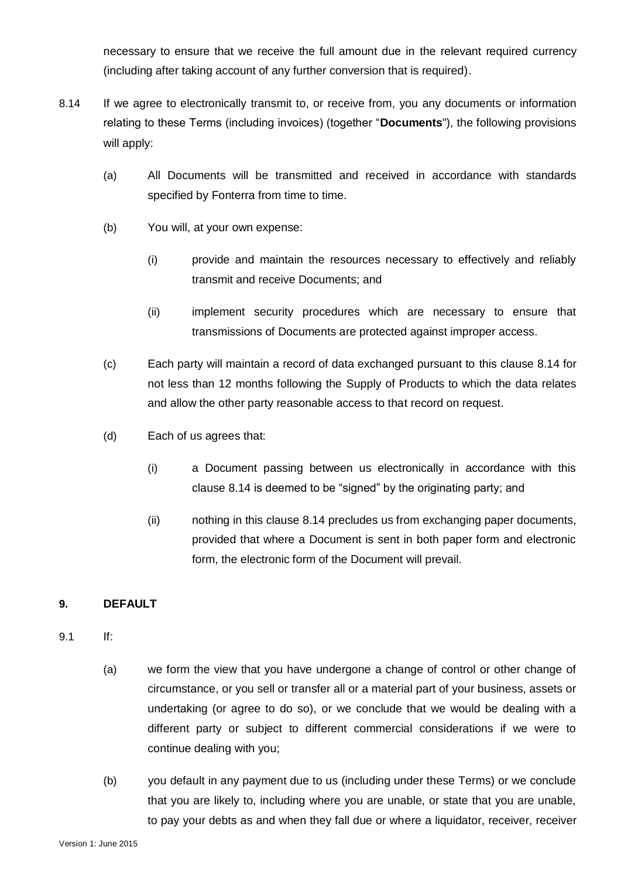necessary to ensure that we receive the full amount due in the relevant required currency (including after taking account of any further conversion that is required).

- 8.14 If we agree to electronically transmit to, or receive from, you any documents or information relating to these Terms (including invoices) (together "**Documents**"), the following provisions will apply:
	- (a) All Documents will be transmitted and received in accordance with standards specified by Fonterra from time to time.
	- (b) You will, at your own expense:
		- (i) provide and maintain the resources necessary to effectively and reliably transmit and receive Documents; and
		- (ii) implement security procedures which are necessary to ensure that transmissions of Documents are protected against improper access.
	- (c) Each party will maintain a record of data exchanged pursuant to this clause 8.14 for not less than 12 months following the Supply of Products to which the data relates and allow the other party reasonable access to that record on request.
	- (d) Each of us agrees that:
		- (i) a Document passing between us electronically in accordance with this clause 8.14 is deemed to be "signed" by the originating party; and
		- (ii) nothing in this clause 8.14 precludes us from exchanging paper documents, provided that where a Document is sent in both paper form and electronic form, the electronic form of the Document will prevail.

## <span id="page-9-0"></span>**9. DEFAULT**

- 9.1 If:
	- (a) we form the view that you have undergone a change of control or other change of circumstance, or you sell or transfer all or a material part of your business, assets or undertaking (or agree to do so), or we conclude that we would be dealing with a different party or subject to different commercial considerations if we were to continue dealing with you;
	- (b) you default in any payment due to us (including under these Terms) or we conclude that you are likely to, including where you are unable, or state that you are unable, to pay your debts as and when they fall due or where a liquidator, receiver, receiver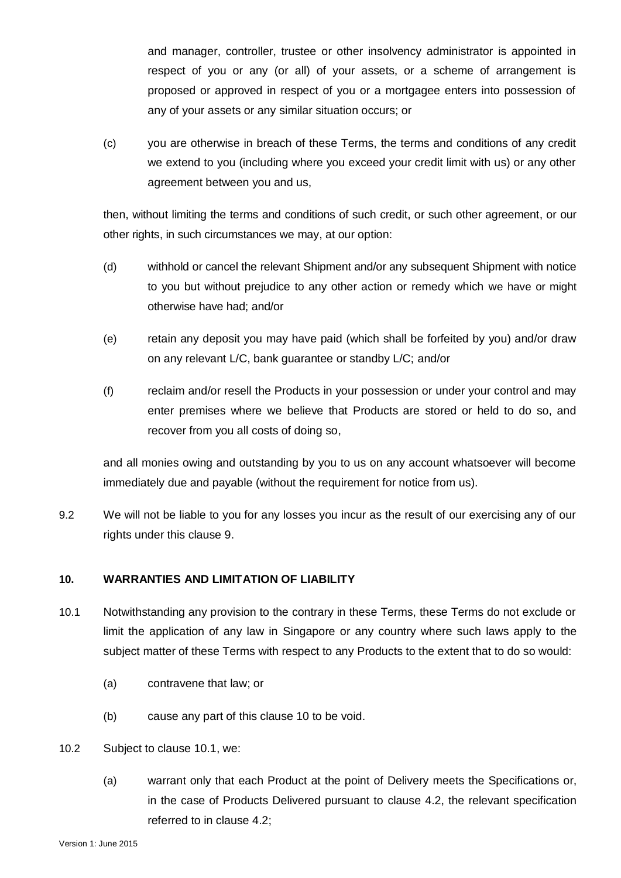and manager, controller, trustee or other insolvency administrator is appointed in respect of you or any (or all) of your assets, or a scheme of arrangement is proposed or approved in respect of you or a mortgagee enters into possession of any of your assets or any similar situation occurs; or

(c) you are otherwise in breach of these Terms, the terms and conditions of any credit we extend to you (including where you exceed your credit limit with us) or any other agreement between you and us,

then, without limiting the terms and conditions of such credit, or such other agreement, or our other rights, in such circumstances we may, at our option:

- (d) withhold or cancel the relevant Shipment and/or any subsequent Shipment with notice to you but without prejudice to any other action or remedy which we have or might otherwise have had; and/or
- (e) retain any deposit you may have paid (which shall be forfeited by you) and/or draw on any relevant L/C, bank guarantee or standby L/C; and/or
- (f) reclaim and/or resell the Products in your possession or under your control and may enter premises where we believe that Products are stored or held to do so, and recover from you all costs of doing so,

and all monies owing and outstanding by you to us on any account whatsoever will become immediately due and payable (without the requirement for notice from us).

9.2 We will not be liable to you for any losses you incur as the result of our exercising any of our rights under this clause [9.](#page-9-0)

#### <span id="page-10-0"></span>**10. WARRANTIES AND LIMITATION OF LIABILITY**

- <span id="page-10-1"></span>10.1 Notwithstanding any provision to the contrary in these Terms, these Terms do not exclude or limit the application of any law in Singapore or any country where such laws apply to the subject matter of these Terms with respect to any Products to the extent that to do so would:
	- (a) contravene that law; or
	- (b) cause any part of this clause [10](#page-10-0) to be void.
- <span id="page-10-2"></span>10.2 Subject to clause [10.1,](#page-10-1) we:
	- (a) warrant only that each Product at the point of Delivery meets the Specifications or, in the case of Products Delivered pursuant to clause 4.2, the relevant specification referred to in clause 4.2;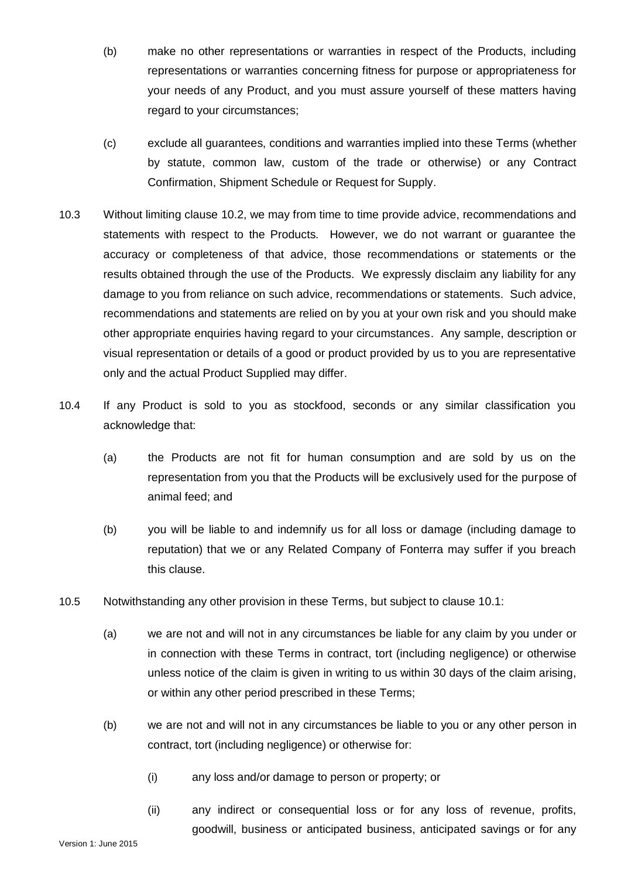- (b) make no other representations or warranties in respect of the Products, including representations or warranties concerning fitness for purpose or appropriateness for your needs of any Product, and you must assure yourself of these matters having regard to your circumstances;
- (c) exclude all guarantees, conditions and warranties implied into these Terms (whether by statute, common law, custom of the trade or otherwise) or any Contract Confirmation, Shipment Schedule or Request for Supply.
- 10.3 Without limiting clause [10.2,](#page-10-2) we may from time to time provide advice, recommendations and statements with respect to the Products. However, we do not warrant or guarantee the accuracy or completeness of that advice, those recommendations or statements or the results obtained through the use of the Products. We expressly disclaim any liability for any damage to you from reliance on such advice, recommendations or statements. Such advice, recommendations and statements are relied on by you at your own risk and you should make other appropriate enquiries having regard to your circumstances. Any sample, description or visual representation or details of a good or product provided by us to you are representative only and the actual Product Supplied may differ.
- 10.4 If any Product is sold to you as stockfood, seconds or any similar classification you acknowledge that:
	- (a) the Products are not fit for human consumption and are sold by us on the representation from you that the Products will be exclusively used for the purpose of animal feed; and
	- (b) you will be liable to and indemnify us for all loss or damage (including damage to reputation) that we or any Related Company of Fonterra may suffer if you breach this clause.
- <span id="page-11-0"></span>10.5 Notwithstanding any other provision in these Terms, but subject to clause [10.1:](#page-10-1)
	- (a) we are not and will not in any circumstances be liable for any claim by you under or in connection with these Terms in contract, tort (including negligence) or otherwise unless notice of the claim is given in writing to us within 30 days of the claim arising, or within any other period prescribed in these Terms;
	- (b) we are not and will not in any circumstances be liable to you or any other person in contract, tort (including negligence) or otherwise for:
		- (i) any loss and/or damage to person or property; or
		- (ii) any indirect or consequential loss or for any loss of revenue, profits, goodwill, business or anticipated business, anticipated savings or for any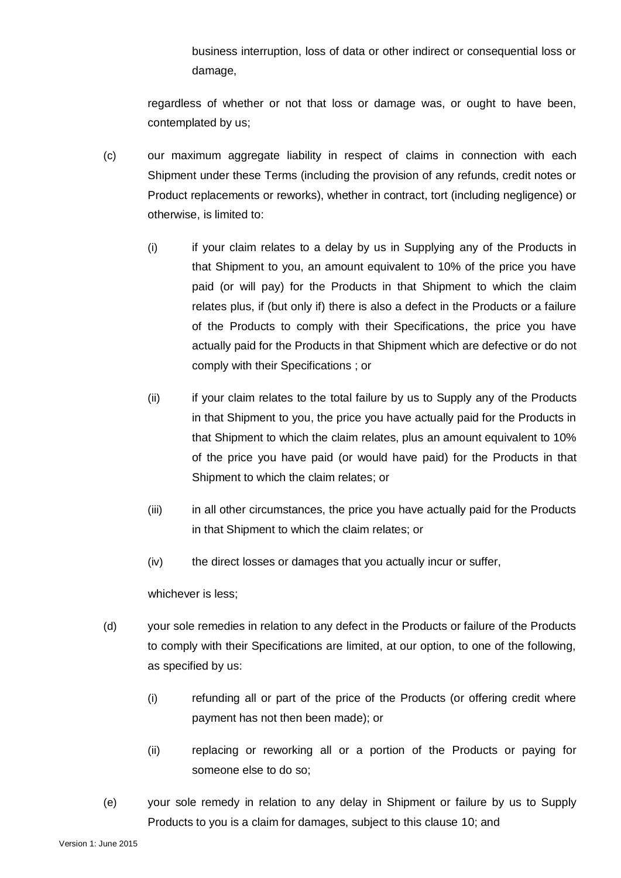business interruption, loss of data or other indirect or consequential loss or damage,

regardless of whether or not that loss or damage was, or ought to have been, contemplated by us;

- (c) our maximum aggregate liability in respect of claims in connection with each Shipment under these Terms (including the provision of any refunds, credit notes or Product replacements or reworks), whether in contract, tort (including negligence) or otherwise, is limited to:
	- (i) if your claim relates to a delay by us in Supplying any of the Products in that Shipment to you, an amount equivalent to 10% of the price you have paid (or will pay) for the Products in that Shipment to which the claim relates plus, if (but only if) there is also a defect in the Products or a failure of the Products to comply with their Specifications, the price you have actually paid for the Products in that Shipment which are defective or do not comply with their Specifications ; or
	- (ii) if your claim relates to the total failure by us to Supply any of the Products in that Shipment to you, the price you have actually paid for the Products in that Shipment to which the claim relates, plus an amount equivalent to 10% of the price you have paid (or would have paid) for the Products in that Shipment to which the claim relates; or
	- (iii) in all other circumstances, the price you have actually paid for the Products in that Shipment to which the claim relates; or
	- (iv) the direct losses or damages that you actually incur or suffer,

whichever is less;

- (d) your sole remedies in relation to any defect in the Products or failure of the Products to comply with their Specifications are limited, at our option, to one of the following, as specified by us:
	- (i) refunding all or part of the price of the Products (or offering credit where payment has not then been made); or
	- (ii) replacing or reworking all or a portion of the Products or paying for someone else to do so;
- (e) your sole remedy in relation to any delay in Shipment or failure by us to Supply Products to you is a claim for damages, subject to this clause [10;](#page-10-0) and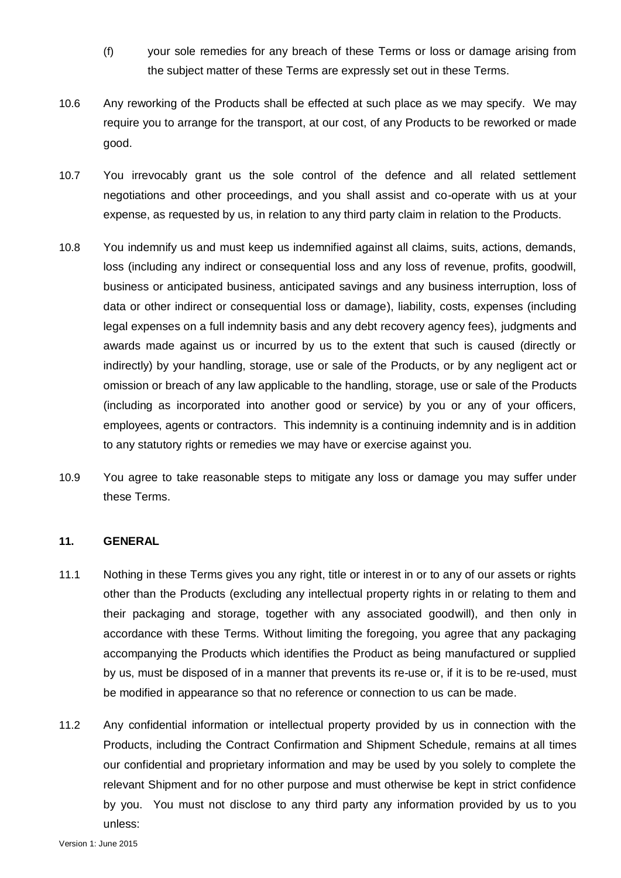- (f) your sole remedies for any breach of these Terms or loss or damage arising from the subject matter of these Terms are expressly set out in these Terms.
- 10.6 Any reworking of the Products shall be effected at such place as we may specify. We may require you to arrange for the transport, at our cost, of any Products to be reworked or made good.
- 10.7 You irrevocably grant us the sole control of the defence and all related settlement negotiations and other proceedings, and you shall assist and co-operate with us at your expense, as requested by us, in relation to any third party claim in relation to the Products.
- 10.8 You indemnify us and must keep us indemnified against all claims, suits, actions, demands, loss (including any indirect or consequential loss and any loss of revenue, profits, goodwill, business or anticipated business, anticipated savings and any business interruption, loss of data or other indirect or consequential loss or damage), liability, costs, expenses (including legal expenses on a full indemnity basis and any debt recovery agency fees), judgments and awards made against us or incurred by us to the extent that such is caused (directly or indirectly) by your handling, storage, use or sale of the Products, or by any negligent act or omission or breach of any law applicable to the handling, storage, use or sale of the Products (including as incorporated into another good or service) by you or any of your officers, employees, agents or contractors. This indemnity is a continuing indemnity and is in addition to any statutory rights or remedies we may have or exercise against you.
- 10.9 You agree to take reasonable steps to mitigate any loss or damage you may suffer under these Terms.

#### **11. GENERAL**

- 11.1 Nothing in these Terms gives you any right, title or interest in or to any of our assets or rights other than the Products (excluding any intellectual property rights in or relating to them and their packaging and storage, together with any associated goodwill), and then only in accordance with these Terms. Without limiting the foregoing, you agree that any packaging accompanying the Products which identifies the Product as being manufactured or supplied by us, must be disposed of in a manner that prevents its re-use or, if it is to be re-used, must be modified in appearance so that no reference or connection to us can be made.
- 11.2 Any confidential information or intellectual property provided by us in connection with the Products, including the Contract Confirmation and Shipment Schedule, remains at all times our confidential and proprietary information and may be used by you solely to complete the relevant Shipment and for no other purpose and must otherwise be kept in strict confidence by you. You must not disclose to any third party any information provided by us to you unless: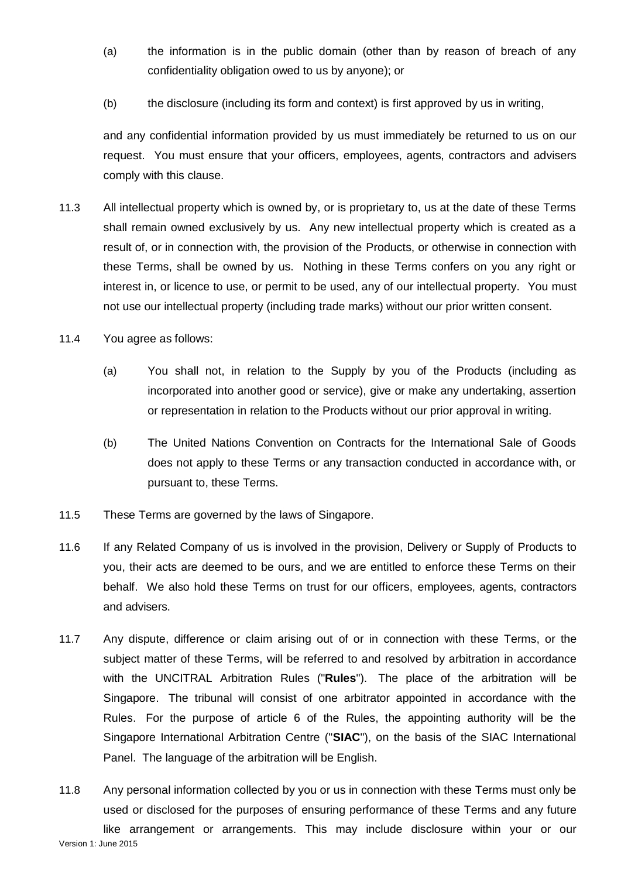- (a) the information is in the public domain (other than by reason of breach of any confidentiality obligation owed to us by anyone); or
- (b) the disclosure (including its form and context) is first approved by us in writing,

and any confidential information provided by us must immediately be returned to us on our request. You must ensure that your officers, employees, agents, contractors and advisers comply with this clause.

- 11.3 All intellectual property which is owned by, or is proprietary to, us at the date of these Terms shall remain owned exclusively by us. Any new intellectual property which is created as a result of, or in connection with, the provision of the Products, or otherwise in connection with these Terms, shall be owned by us. Nothing in these Terms confers on you any right or interest in, or licence to use, or permit to be used, any of our intellectual property. You must not use our intellectual property (including trade marks) without our prior written consent.
- 11.4 You agree as follows:
	- (a) You shall not, in relation to the Supply by you of the Products (including as incorporated into another good or service), give or make any undertaking, assertion or representation in relation to the Products without our prior approval in writing.
	- (b) The United Nations Convention on Contracts for the International Sale of Goods does not apply to these Terms or any transaction conducted in accordance with, or pursuant to, these Terms.
- 11.5 These Terms are governed by the laws of Singapore.
- 11.6 If any Related Company of us is involved in the provision, Delivery or Supply of Products to you, their acts are deemed to be ours, and we are entitled to enforce these Terms on their behalf. We also hold these Terms on trust for our officers, employees, agents, contractors and advisers.
- 11.7 Any dispute, difference or claim arising out of or in connection with these Terms, or the subject matter of these Terms, will be referred to and resolved by arbitration in accordance with the UNCITRAL Arbitration Rules ("**Rules**"). The place of the arbitration will be Singapore. The tribunal will consist of one arbitrator appointed in accordance with the Rules. For the purpose of article 6 of the Rules, the appointing authority will be the Singapore International Arbitration Centre ("**SIAC**"), on the basis of the SIAC International Panel. The language of the arbitration will be English.
- Version 1: June 2015 11.8 Any personal information collected by you or us in connection with these Terms must only be used or disclosed for the purposes of ensuring performance of these Terms and any future like arrangement or arrangements. This may include disclosure within your or our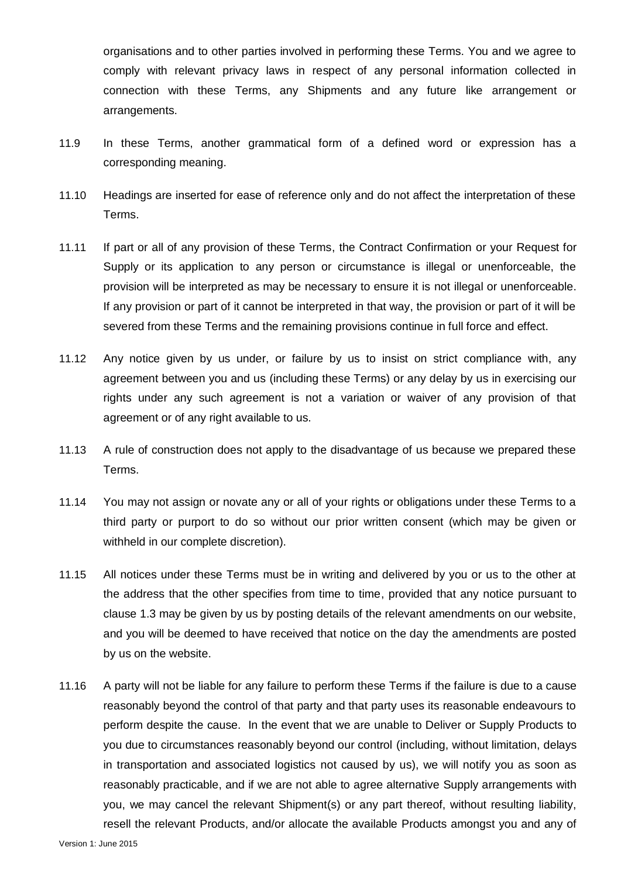organisations and to other parties involved in performing these Terms. You and we agree to comply with relevant privacy laws in respect of any personal information collected in connection with these Terms, any Shipments and any future like arrangement or arrangements.

- 11.9 In these Terms, another grammatical form of a defined word or expression has a corresponding meaning.
- 11.10 Headings are inserted for ease of reference only and do not affect the interpretation of these Terms.
- 11.11 If part or all of any provision of these Terms, the Contract Confirmation or your Request for Supply or its application to any person or circumstance is illegal or unenforceable, the provision will be interpreted as may be necessary to ensure it is not illegal or unenforceable. If any provision or part of it cannot be interpreted in that way, the provision or part of it will be severed from these Terms and the remaining provisions continue in full force and effect.
- 11.12 Any notice given by us under, or failure by us to insist on strict compliance with, any agreement between you and us (including these Terms) or any delay by us in exercising our rights under any such agreement is not a variation or waiver of any provision of that agreement or of any right available to us.
- 11.13 A rule of construction does not apply to the disadvantage of us because we prepared these Terms.
- 11.14 You may not assign or novate any or all of your rights or obligations under these Terms to a third party or purport to do so without our prior written consent (which may be given or withheld in our complete discretion).
- 11.15 All notices under these Terms must be in writing and delivered by you or us to the other at the address that the other specifies from time to time, provided that any notice pursuant to clause [1.3](#page-0-0) may be given by us by posting details of the relevant amendments on our website, and you will be deemed to have received that notice on the day the amendments are posted by us on the website.
- <span id="page-15-0"></span>11.16 A party will not be liable for any failure to perform these Terms if the failure is due to a cause reasonably beyond the control of that party and that party uses its reasonable endeavours to perform despite the cause. In the event that we are unable to Deliver or Supply Products to you due to circumstances reasonably beyond our control (including, without limitation, delays in transportation and associated logistics not caused by us), we will notify you as soon as reasonably practicable, and if we are not able to agree alternative Supply arrangements with you, we may cancel the relevant Shipment(s) or any part thereof, without resulting liability, resell the relevant Products, and/or allocate the available Products amongst you and any of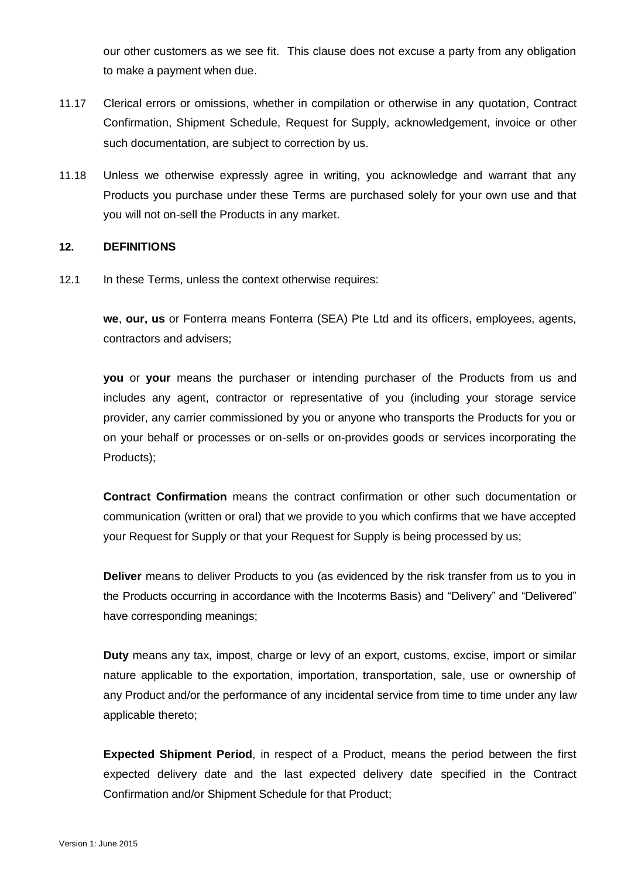our other customers as we see fit. This clause does not excuse a party from any obligation to make a payment when due.

- 11.17 Clerical errors or omissions, whether in compilation or otherwise in any quotation, Contract Confirmation, Shipment Schedule, Request for Supply, acknowledgement, invoice or other such documentation, are subject to correction by us.
- 11.18 Unless we otherwise expressly agree in writing, you acknowledge and warrant that any Products you purchase under these Terms are purchased solely for your own use and that you will not on-sell the Products in any market.

#### **12. DEFINITIONS**

12.1 In these Terms, unless the context otherwise requires:

**we**, **our, us** or Fonterra means Fonterra (SEA) Pte Ltd and its officers, employees, agents, contractors and advisers;

**you** or **your** means the purchaser or intending purchaser of the Products from us and includes any agent, contractor or representative of you (including your storage service provider, any carrier commissioned by you or anyone who transports the Products for you or on your behalf or processes or on-sells or on-provides goods or services incorporating the Products);

**Contract Confirmation** means the contract confirmation or other such documentation or communication (written or oral) that we provide to you which confirms that we have accepted your Request for Supply or that your Request for Supply is being processed by us;

**Deliver** means to deliver Products to you (as evidenced by the risk transfer from us to you in the Products occurring in accordance with the Incoterms Basis) and "Delivery" and "Delivered" have corresponding meanings;

**Duty** means any tax, impost, charge or levy of an export, customs, excise, import or similar nature applicable to the exportation, importation, transportation, sale, use or ownership of any Product and/or the performance of any incidental service from time to time under any law applicable thereto;

**Expected Shipment Period**, in respect of a Product, means the period between the first expected delivery date and the last expected delivery date specified in the Contract Confirmation and/or Shipment Schedule for that Product;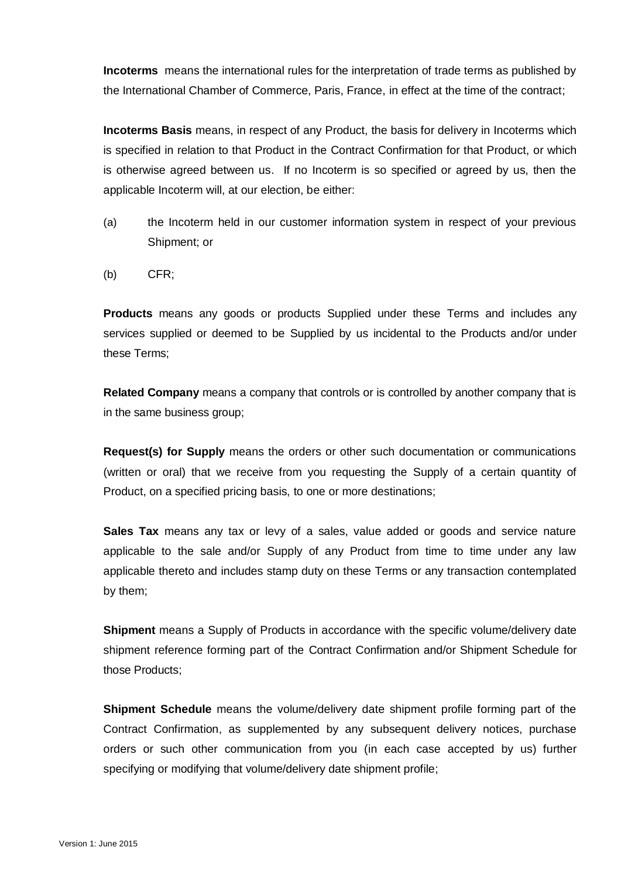**Incoterms** means the international rules for the interpretation of trade terms as published by the International Chamber of Commerce, Paris, France, in effect at the time of the contract;

**Incoterms Basis** means, in respect of any Product, the basis for delivery in Incoterms which is specified in relation to that Product in the Contract Confirmation for that Product, or which is otherwise agreed between us. If no Incoterm is so specified or agreed by us, then the applicable Incoterm will, at our election, be either:

- (a) the Incoterm held in our customer information system in respect of your previous Shipment; or
- (b) CFR;

**Products** means any goods or products Supplied under these Terms and includes any services supplied or deemed to be Supplied by us incidental to the Products and/or under these Terms;

**Related Company** means a company that controls or is controlled by another company that is in the same business group;

**Request(s) for Supply** means the orders or other such documentation or communications (written or oral) that we receive from you requesting the Supply of a certain quantity of Product, on a specified pricing basis, to one or more destinations;

**Sales Tax** means any tax or levy of a sales, value added or goods and service nature applicable to the sale and/or Supply of any Product from time to time under any law applicable thereto and includes stamp duty on these Terms or any transaction contemplated by them;

**Shipment** means a Supply of Products in accordance with the specific volume/delivery date shipment reference forming part of the Contract Confirmation and/or Shipment Schedule for those Products;

**Shipment Schedule** means the volume/delivery date shipment profile forming part of the Contract Confirmation, as supplemented by any subsequent delivery notices, purchase orders or such other communication from you (in each case accepted by us) further specifying or modifying that volume/delivery date shipment profile;